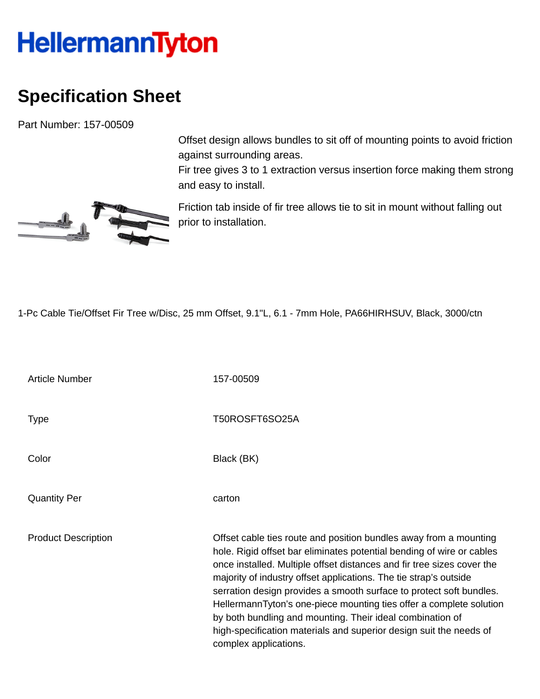## **HellermannTyton**

## **Specification Sheet**

Part Number: 157-00509

Offset design allows bundles to sit off of mounting points to avoid friction against surrounding areas.

Fir tree gives 3 to 1 extraction versus insertion force making them strong and easy to install.



Friction tab inside of fir tree allows tie to sit in mount without falling out prior to installation.

1-Pc Cable Tie/Offset Fir Tree w/Disc, 25 mm Offset, 9.1"L, 6.1 - 7mm Hole, PA66HIRHSUV, Black, 3000/ctn

Article Number 157-00509 Type Type T50ROSFT6SO25A Color Black (BK) Quantity Per carton Product Description **Description** Offset cable ties route and position bundles away from a mounting hole. Rigid offset bar eliminates potential bending of wire or cables once installed. Multiple offset distances and fir tree sizes cover the majority of industry offset applications. The tie strap's outside serration design provides a smooth surface to protect soft bundles. HellermannTyton's one-piece mounting ties offer a complete solution by both bundling and mounting. Their ideal combination of high-specification materials and superior design suit the needs of complex applications.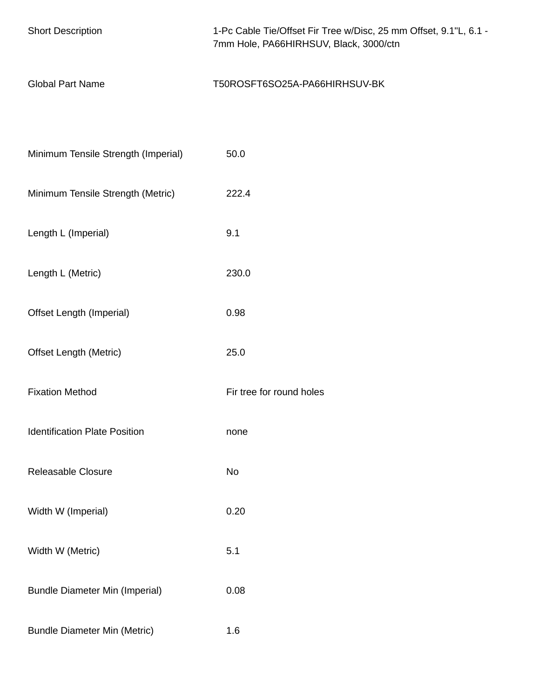| <b>Short Description</b>              | 1-Pc Cable Tie/Offset Fir Tree w/Disc, 25 mm Offset, 9.1"L, 6.1 -<br>7mm Hole, PA66HIRHSUV, Black, 3000/ctn |
|---------------------------------------|-------------------------------------------------------------------------------------------------------------|
| <b>Global Part Name</b>               | T50ROSFT6SO25A-PA66HIRHSUV-BK                                                                               |
|                                       |                                                                                                             |
| Minimum Tensile Strength (Imperial)   | 50.0                                                                                                        |
| Minimum Tensile Strength (Metric)     | 222.4                                                                                                       |
| Length L (Imperial)                   | 9.1                                                                                                         |
| Length L (Metric)                     | 230.0                                                                                                       |
| Offset Length (Imperial)              | 0.98                                                                                                        |
| <b>Offset Length (Metric)</b>         | 25.0                                                                                                        |
| <b>Fixation Method</b>                | Fir tree for round holes                                                                                    |
| <b>Identification Plate Position</b>  | none                                                                                                        |
| <b>Releasable Closure</b>             | No                                                                                                          |
| Width W (Imperial)                    | 0.20                                                                                                        |
| Width W (Metric)                      | 5.1                                                                                                         |
| <b>Bundle Diameter Min (Imperial)</b> | 0.08                                                                                                        |
| <b>Bundle Diameter Min (Metric)</b>   | 1.6                                                                                                         |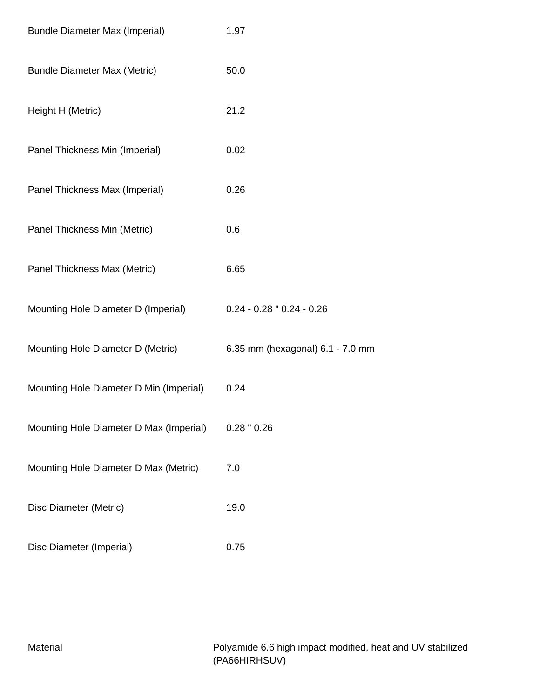| <b>Bundle Diameter Max (Imperial)</b>   | 1.97                             |
|-----------------------------------------|----------------------------------|
| <b>Bundle Diameter Max (Metric)</b>     | 50.0                             |
| Height H (Metric)                       | 21.2                             |
| Panel Thickness Min (Imperial)          | 0.02                             |
| Panel Thickness Max (Imperial)          | 0.26                             |
| Panel Thickness Min (Metric)            | 0.6                              |
| Panel Thickness Max (Metric)            | 6.65                             |
| Mounting Hole Diameter D (Imperial)     | $0.24 - 0.28$ " $0.24 - 0.26$    |
| Mounting Hole Diameter D (Metric)       | 6.35 mm (hexagonal) 6.1 - 7.0 mm |
| Mounting Hole Diameter D Min (Imperial) | 0.24                             |
| Mounting Hole Diameter D Max (Imperial) | $0.28$ " $0.26$                  |
| Mounting Hole Diameter D Max (Metric)   | 7.0                              |
| Disc Diameter (Metric)                  | 19.0                             |
| Disc Diameter (Imperial)                | 0.75                             |